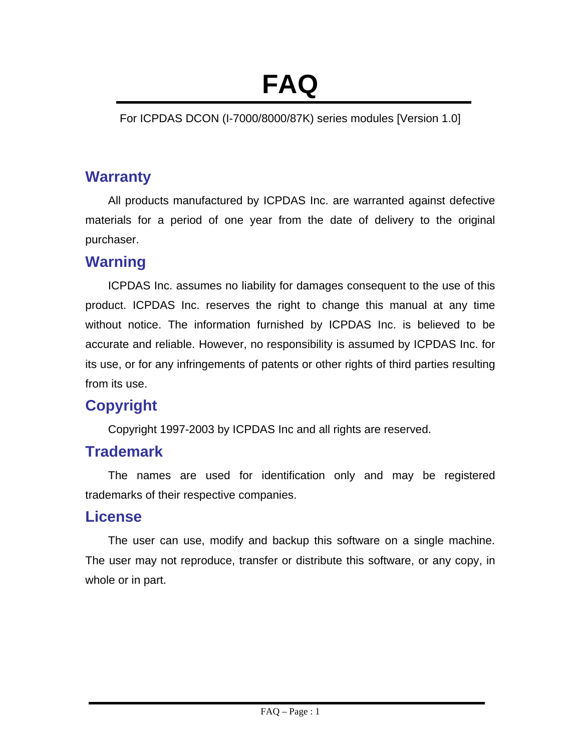# **FAQ**

For ICPDAS DCON (I-7000/8000/87K) series modules [Version 1.0]

# **Warranty**

All products manufactured by ICPDAS Inc. are warranted against defective materials for a period of one year from the date of delivery to the original purchaser.

# **Warning**

ICPDAS Inc. assumes no liability for damages consequent to the use of this product. ICPDAS Inc. reserves the right to change this manual at any time without notice. The information furnished by ICPDAS Inc. is believed to be accurate and reliable. However, no responsibility is assumed by ICPDAS Inc. for its use, or for any infringements of patents or other rights of third parties resulting from its use.

# **Copyright**

Copyright 1997-2003 by ICPDAS Inc and all rights are reserved.

# **Trademark**

The names are used for identification only and may be registered trademarks of their respective companies.

# **License**

The user can use, modify and backup this software on a single machine. The user may not reproduce, transfer or distribute this software, or any copy, in whole or in part.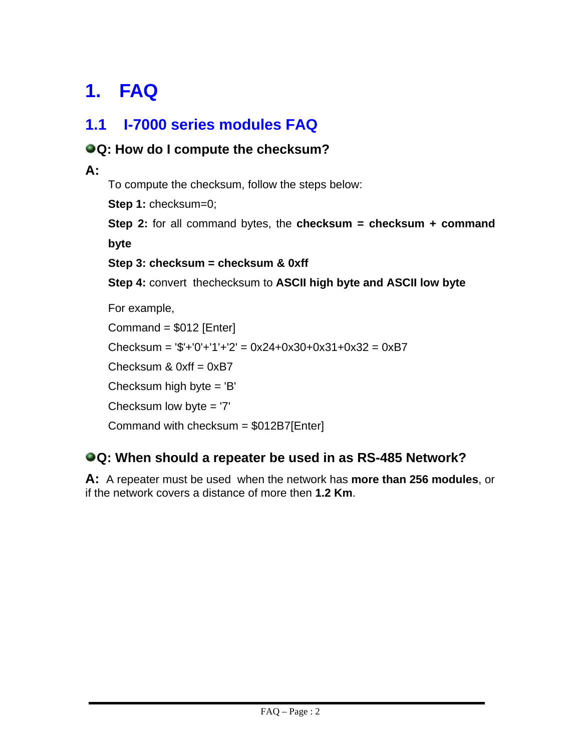# **1. FAQ**

# **1.1 I-7000 series modules FAQ**

# **Q: How do I compute the checksum? A:**

To compute the checksum, follow the steps below:

**Step 1: checksum=0;** 

**Step 2:** for all command bytes, the **checksum = checksum + command byte**

**Step 3: checksum = checksum & 0xff**

**Step 4:** convert thechecksum to **ASCII high byte and ASCII low byte**

For example, Command = \$012 [Enter]  $Checksum = '$'+'0'+'1'+'2' = 0x24+0x30+0x31+0x32 = 0xB7$ Checksum  $& 0xff = 0xB7$ Checksum high byte = 'B' Checksum low byte = '7' Command with checksum = \$012B7[Enter]

#### **Q: When should a repeater be used in as RS-485 Network?**

**A:** A repeater must be used when the network has **more than 256 modules**, or if the network covers a distance of more then **1.2 Km**.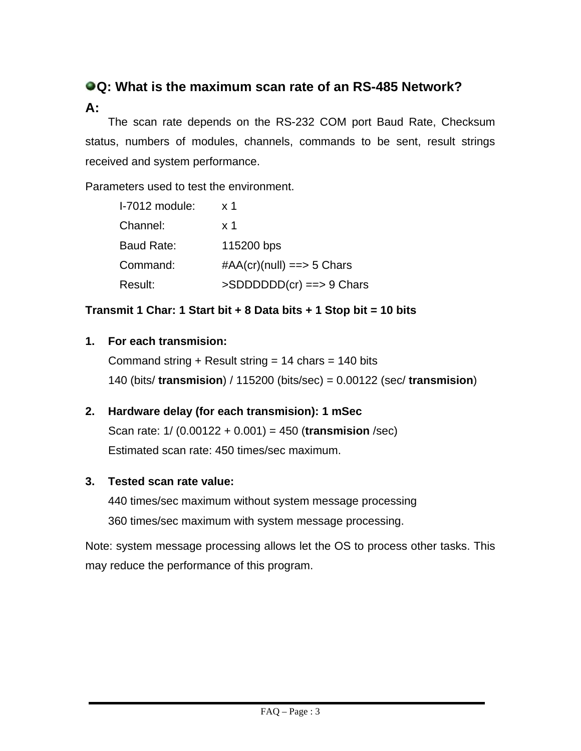# **Q: What is the maximum scan rate of an RS-485 Network? A:**

The scan rate depends on the RS-232 COM port Baud Rate, Checksum status, numbers of modules, channels, commands to be sent, result strings received and system performance.

Parameters used to test the environment.

| I-7012 module: | x <sub>1</sub>                |
|----------------|-------------------------------|
| Channel:       | x <sub>1</sub>                |
| Baud Rate:     | 115200 bps                    |
| Command:       | $\#AA$ (cr)(null) ==> 5 Chars |
| Result:        | $>SDDDDD(Cr)$ ==> 9 Chars     |

#### **Transmit 1 Char: 1 Start bit + 8 Data bits + 1 Stop bit = 10 bits**

#### **1. For each transmision:**

Command string + Result string =  $14$  chars =  $140$  bits 140 (bits/ **transmision**) / 115200 (bits/sec) = 0.00122 (sec/ **transmision**)

#### **2. Hardware delay (for each transmision): 1 mSec**

Scan rate: 1/ (0.00122 + 0.001) = 450 (**transmision** /sec) Estimated scan rate: 450 times/sec maximum.

#### **3. Tested scan rate value:**

440 times/sec maximum without system message processing 360 times/sec maximum with system message processing.

Note: system message processing allows let the OS to process other tasks. This may reduce the performance of this program.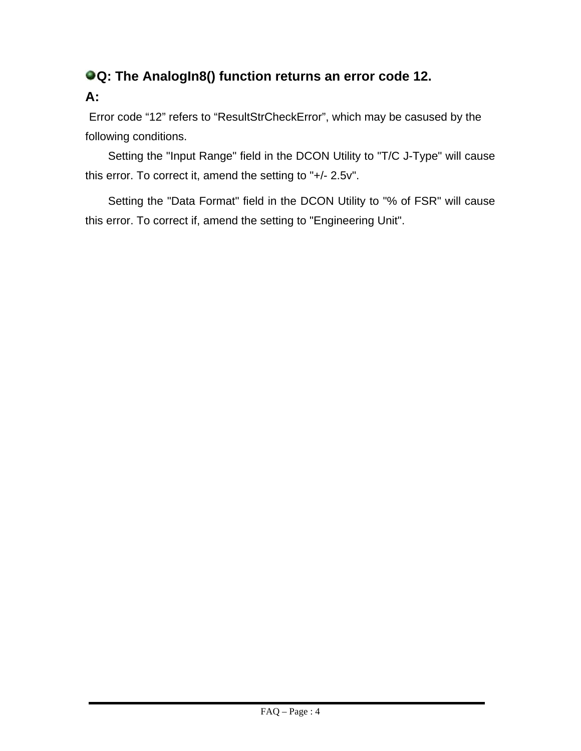# **Q: The AnalogIn8() function returns an error code 12. A:**

Error code "12" refers to "ResultStrCheckError", which may be casused by the following conditions.

Setting the "Input Range" field in the DCON Utility to "T/C J-Type" will cause this error. To correct it, amend the setting to "+/- 2.5v".

Setting the "Data Format" field in the DCON Utility to "% of FSR" will cause this error. To correct if, amend the setting to "Engineering Unit".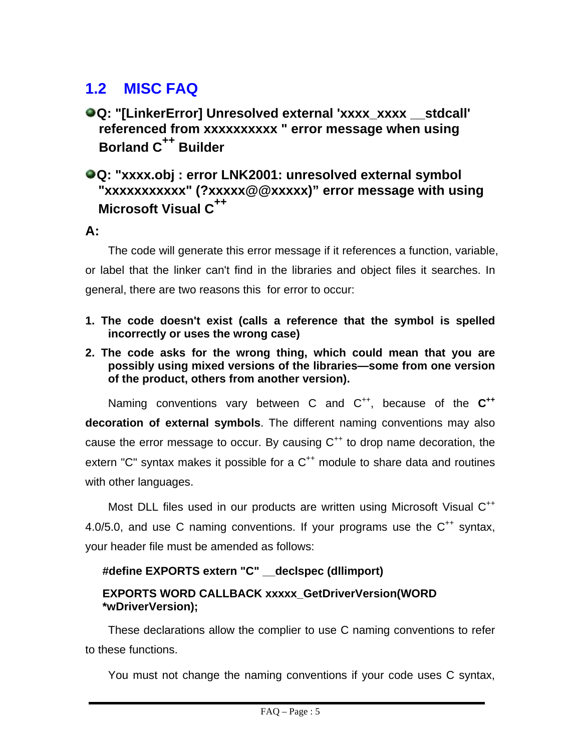# **1.2 MISC FAQ**

#### **Q: "[LinkerError] Unresolved external 'xxxx\_xxxx \_\_ stdcall' referenced from xxxxxxxxxx " error message when using Borland C++ Builder**

#### **Q: "xxxx.obj : error LNK2001: unresolved external symbol "xxxxxxxxxxx" (?xxxxx@@xxxxx)" error message with using Microsoft Visual C<sup>++</sup>**

**A:**

The code will generate this error message if it references a function, variable, or label that the linker can't find in the libraries and object files it searches. In general, there are two reasons this for error to occur:

- **1. The code doesn't exist (calls a reference that the symbol is spelled incorrectly or uses the wrong case)**
- **2. The code asks for the wrong thing, which could mean that you are possibly using mixed versions of the libraries—some from one version of the product, others from another version).**

Naming conventions vary between C and C<sup>++</sup>, because of the C<sup>++</sup> **decoration of external symbols**. The different naming conventions may also cause the error message to occur. By causing  $C^{++}$  to drop name decoration, the extern "C" syntax makes it possible for a  $C^{++}$  module to share data and routines with other languages.

Most DLL files used in our products are written using Microsoft Visual C<sup>++</sup> 4.0/5.0, and use C naming conventions. If your programs use the  $C^{++}$  syntax, your header file must be amended as follows:

#### **#define EXPORTS extern "C" \_\_declspec (dllimport)**

#### **EXPORTS WORD CALLBACK xxxxx\_GetDriverVersion(WORD \*wDriverVersion);**

These declarations allow the complier to use C naming conventions to refer to these functions.

You must not change the naming conventions if your code uses C syntax,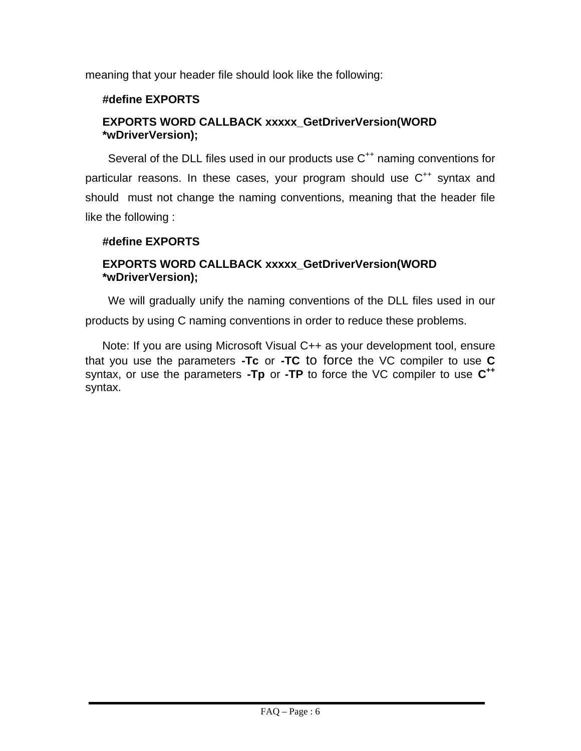meaning that your header file should look like the following:

#### **#define EXPORTS**

#### **EXPORTS WORD CALLBACK xxxxx\_GetDriverVersion(WORD \*wDriverVersion);**

Several of the DLL files used in our products use C<sup>++</sup> naming conventions for particular reasons. In these cases, your program should use  $C^{++}$  syntax and should must not change the naming conventions, meaning that the header file like the following :

#### **#define EXPORTS**

#### **EXPORTS WORD CALLBACK xxxxx\_GetDriverVersion(WORD \*wDriverVersion);**

We will gradually unify the naming conventions of the DLL files used in our products by using C naming conventions in order to reduce these problems.

Note: If you are using Microsoft Visual C++ as your development tool, ensure that you use the parameters **-Tc** or **-TC** to force the VC compiler to use **C** syntax, or use the parameters **-Tp** or **-TP** to force the VC compiler to use **C++** syntax.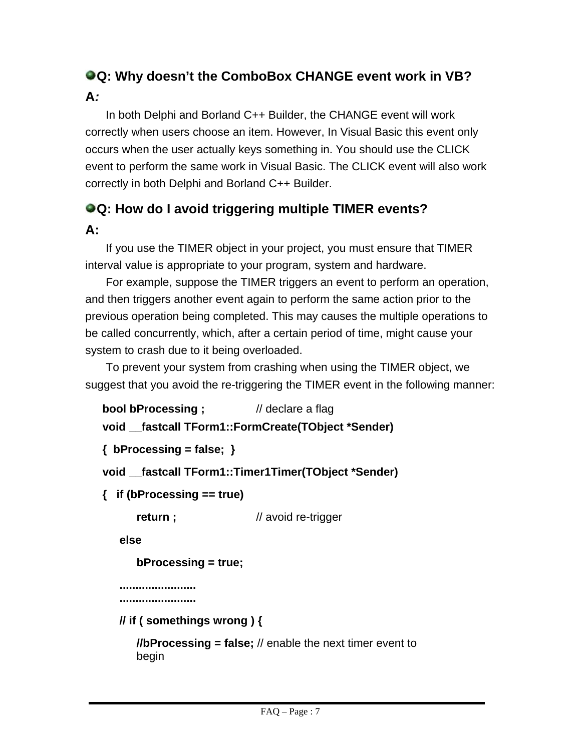## **Q: Why doesn't the ComboBox CHANGE event work in VB? A***:*

In both Delphi and Borland C++ Builder, the CHANGE event will work correctly when users choose an item. However, In Visual Basic this event only occurs when the user actually keys something in. You should use the CLICK event to perform the same work in Visual Basic. The CLICK event will also work correctly in both Delphi and Borland C++ Builder.

## **Q: How do I avoid triggering multiple TIMER events? A:**

If you use the TIMER object in your project, you must ensure that TIMER interval value is appropriate to your program, system and hardware.

For example, suppose the TIMER triggers an event to perform an operation, and then triggers another event again to perform the same action prior to the previous operation being completed. This may causes the multiple operations to be called concurrently, which, after a certain period of time, might cause your system to crash due to it being overloaded.

To prevent your system from crashing when using the TIMER object, we suggest that you avoid the re-triggering the TIMER event in the following manner:

```
bool bProcessing ; // declare a flag
```

```
void __fastcall TForm1::FormCreate(TObject *Sender)
```

```
{ bProcessing = false; }
```

```
void __fastcall TForm1::Timer1Timer(TObject *Sender)
```

```
{ if (bProcessing == true)
```
**return ;** // avoid re-trigger

**else** 

```
bProcessing = true;
```

```
........................ 
........................
```
**// if ( somethings wrong ) {** 

**//bProcessing = false;** // enable the next timer event to begin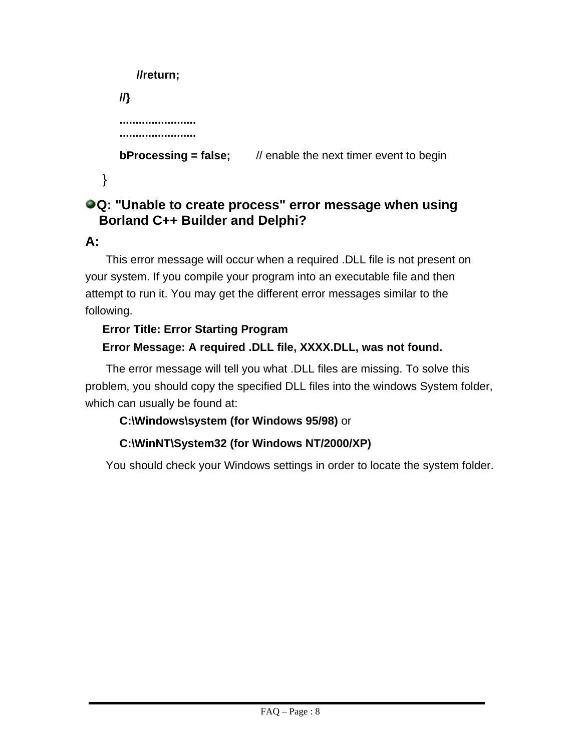```
//return;
    //} 
    ........................ 
    ........................ 
    bProcessing = false; // enable the next timer event to begin
}
```
#### **Q: "Unable to create process" error message when using Borland C++ Builder and Delphi?**

#### **A:**

This error message will occur when a required .DLL file is not present on your system. If you compile your program into an executable file and then attempt to run it. You may get the different error messages similar to the following.

#### **Error Title: Error Starting Program Error Message: A required .DLL file, XXXX.DLL, was not found.**

The error message will tell you what .DLL files are missing. To solve this problem, you should copy the specified DLL files into the windows System folder, which can usually be found at:

#### **C:\Windows\system (for Windows 95/98)** or

#### **C:\WinNT\System32 (for Windows NT/2000/XP)**

You should check your Windows settings in order to locate the system folder.